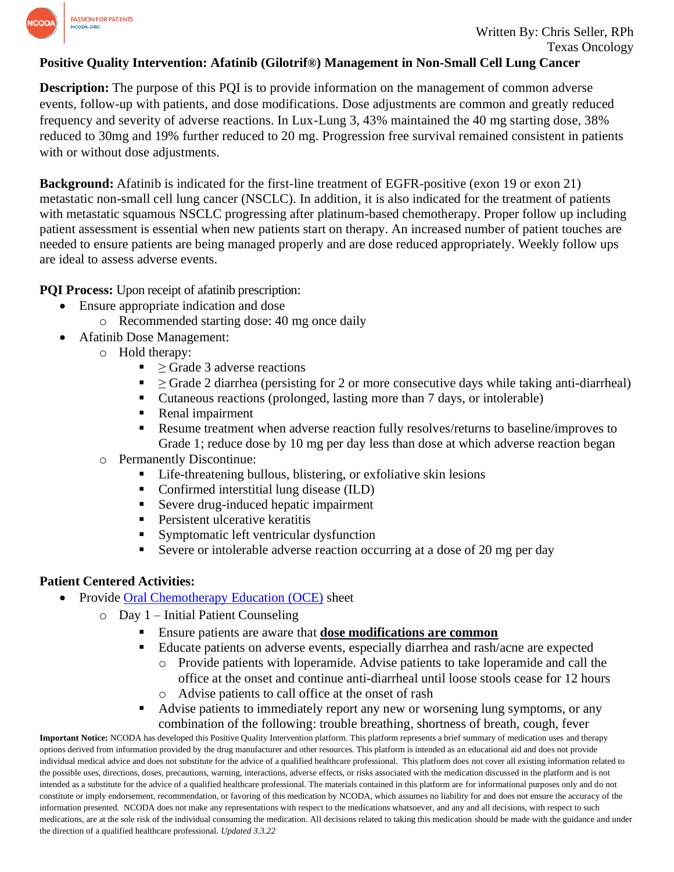

## **Positive Quality Intervention: Afatinib (Gilotrif®) Management in Non-Small Cell Lung Cancer**

**Description:** The purpose of this PQI is to provide information on the management of common adverse events, follow-up with patients, and dose modifications. Dose adjustments are common and greatly reduced frequency and severity of adverse reactions. In Lux-Lung 3, 43% maintained the 40 mg starting dose, 38% reduced to 30mg and 19% further reduced to 20 mg. Progression free survival remained consistent in patients with or without dose adjustments.

**Background:** Afatinib is indicated for the first-line treatment of EGFR-positive (exon 19 or exon 21) metastatic non-small cell lung cancer (NSCLC). In addition, it is also indicated for the treatment of patients with metastatic squamous NSCLC progressing after platinum-based chemotherapy. Proper follow up including patient assessment is essential when new patients start on therapy. An increased number of patient touches are needed to ensure patients are being managed properly and are dose reduced appropriately. Weekly follow ups are ideal to assess adverse events.

**PQI Process:** Upon receipt of afatinib prescription:

- Ensure appropriate indication and dose
	- o Recommended starting dose: 40 mg once daily
- Afatinib Dose Management:
	- o Hold therapy:
		- $\blacksquare$  > Grade 3 adverse reactions
		- $\blacksquare$   $\geq$  Grade 2 diarrhea (persisting for 2 or more consecutive days while taking anti-diarrheal)
		- Cutaneous reactions (prolonged, lasting more than 7 days, or intolerable)
		- Renal impairment
		- **Resume treatment when adverse reaction fully resolves/returns to baseline/improves to** Grade 1; reduce dose by 10 mg per day less than dose at which adverse reaction began
	- o Permanently Discontinue:
		- Life-threatening bullous, blistering, or exfoliative skin lesions
		- Confirmed interstitial lung disease (ILD)
		- Severe drug-induced hepatic impairment
		- **•** Persistent ulcerative keratitis
		- **EXECUTE:** Symptomatic left ventricular dysfunction
		- Severe or intolerable adverse reaction occurring at a dose of 20 mg per day

## **Patient Centered Activities:**

- Provide Oral [Chemotherapy Education \(OCE\)](https://www.oralchemoedsheets.com/index.php/sheet-library/24-available/generic/270-afatinib) sheet
	- o Day 1 Initial Patient Counseling
		- Ensure patients are aware that **dose modifications are common**
		- Educate patients on adverse events, especially diarrhea and rash/acne are expected
			- o Provide patients with loperamide. Advise patients to take loperamide and call the office at the onset and continue anti-diarrheal until loose stools cease for 12 hours o Advise patients to call office at the onset of rash
		- Advise patients to immediately report any new or worsening lung symptoms, or any combination of the following: trouble breathing, shortness of breath, cough, fever

**Important Notice:** NCODA has developed this Positive Quality Intervention platform. This platform represents a brief summary of medication uses and therapy options derived from information provided by the drug manufacturer and other resources. This platform is intended as an educational aid and does not provide individual medical advice and does not substitute for the advice of a qualified healthcare professional. This platform does not cover all existing information related to the possible uses, directions, doses, precautions, warning, interactions, adverse effects, or risks associated with the medication discussed in the platform and is not intended as a substitute for the advice of a qualified healthcare professional. The materials contained in this platform are for informational purposes only and do not constitute or imply endorsement, recommendation, or favoring of this medication by NCODA, which assumes no liability for and does not ensure the accuracy of the information presented. NCODA does not make any representations with respect to the medications whatsoever, and any and all decisions, with respect to such medications, are at the sole risk of the individual consuming the medication. All decisions related to taking this medication should be made with the guidance and under the direction of a qualified healthcare professional. *Updated 3.3.22*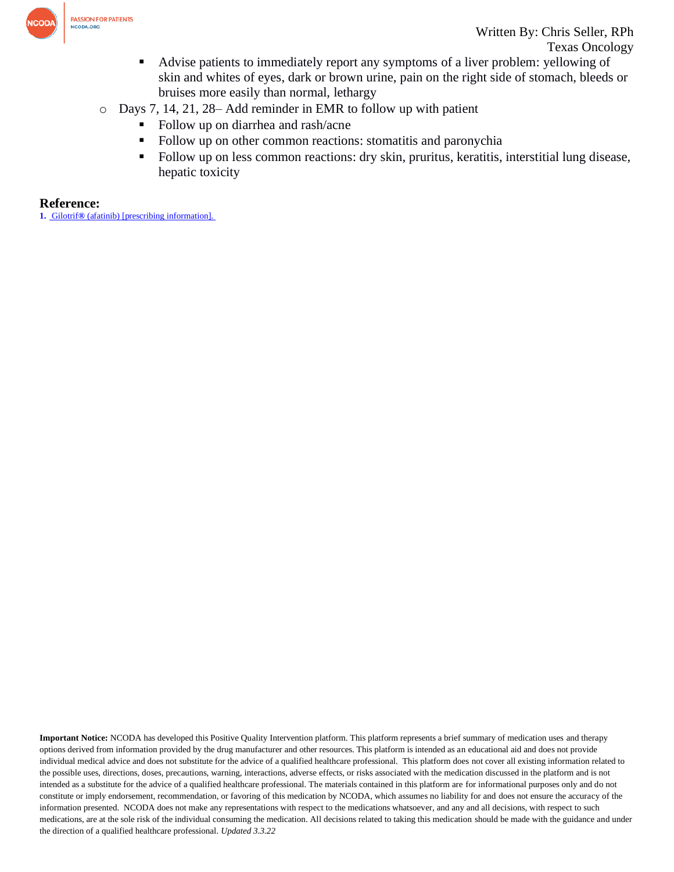

- Advise patients to immediately report any symptoms of a liver problem: yellowing of skin and whites of eyes, dark or brown urine, pain on the right side of stomach, bleeds or bruises more easily than normal, lethargy
- o Days 7, 14, 21, 28– Add reminder in EMR to follow up with patient
	- Follow up on diarrhea and rash/acne
	- Follow up on other common reactions: stomatitis and paronychia
	- Follow up on less common reactions: dry skin, pruritus, keratitis, interstitial lung disease, hepatic toxicity

## **Reference:**

**1.** Gilotrif**®** [\(afatinib\) \[prescribing information\].](https://www.accessdata.fda.gov/drugsatfda_docs/label/2018/201292s014lbl.pdf) 

**Important Notice:** NCODA has developed this Positive Quality Intervention platform. This platform represents a brief summary of medication uses and therapy options derived from information provided by the drug manufacturer and other resources. This platform is intended as an educational aid and does not provide individual medical advice and does not substitute for the advice of a qualified healthcare professional. This platform does not cover all existing information related to the possible uses, directions, doses, precautions, warning, interactions, adverse effects, or risks associated with the medication discussed in the platform and is not intended as a substitute for the advice of a qualified healthcare professional. The materials contained in this platform are for informational purposes only and do not constitute or imply endorsement, recommendation, or favoring of this medication by NCODA, which assumes no liability for and does not ensure the accuracy of the information presented. NCODA does not make any representations with respect to the medications whatsoever, and any and all decisions, with respect to such medications, are at the sole risk of the individual consuming the medication. All decisions related to taking this medication should be made with the guidance and under the direction of a qualified healthcare professional. *Updated 3.3.22*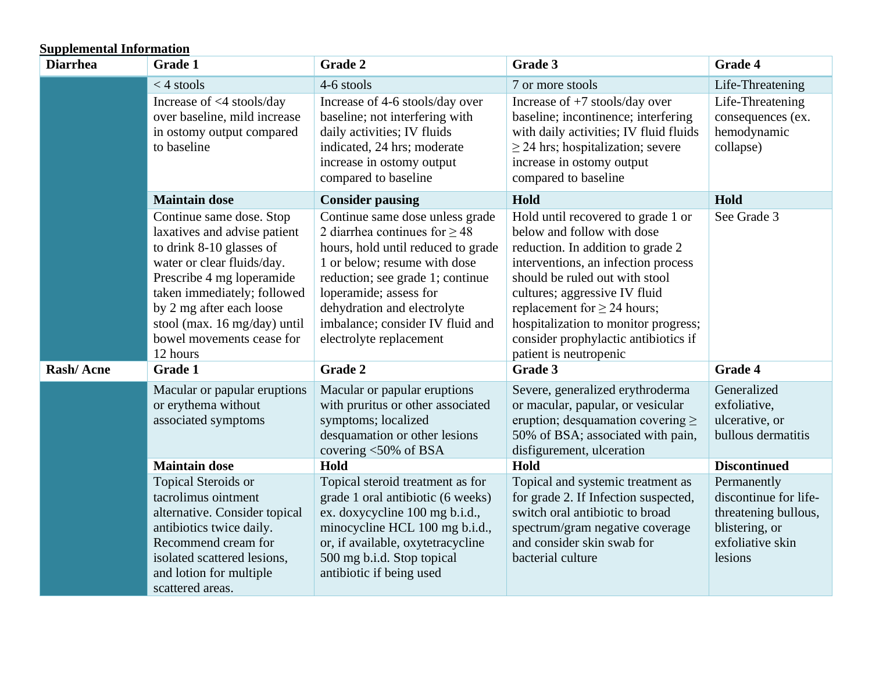## **Supplemental Information**

| <b>Diarrhea</b> | <b>Grade 1</b>                                                                                                                                                                                                                                                                      | Grade 2                                                                                                                                                                                                                                                                                                 | Grade 3                                                                                                                                                                                                                                                                                                                                                       | <b>Grade 4</b>                                                                                                |
|-----------------|-------------------------------------------------------------------------------------------------------------------------------------------------------------------------------------------------------------------------------------------------------------------------------------|---------------------------------------------------------------------------------------------------------------------------------------------------------------------------------------------------------------------------------------------------------------------------------------------------------|---------------------------------------------------------------------------------------------------------------------------------------------------------------------------------------------------------------------------------------------------------------------------------------------------------------------------------------------------------------|---------------------------------------------------------------------------------------------------------------|
|                 | $<$ 4 stools<br>Increase of <4 stools/day<br>over baseline, mild increase<br>in ostomy output compared<br>to baseline                                                                                                                                                               | 4-6 stools<br>Increase of 4-6 stools/day over<br>baseline; not interfering with<br>daily activities; IV fluids<br>indicated, 24 hrs; moderate<br>increase in ostomy output<br>compared to baseline                                                                                                      | 7 or more stools<br>Increase of $+7$ stools/day over<br>baseline; incontinence; interfering<br>with daily activities; IV fluid fluids<br>$\geq$ 24 hrs; hospitalization; severe<br>increase in ostomy output<br>compared to baseline                                                                                                                          | Life-Threatening<br>Life-Threatening<br>consequences (ex.<br>hemodynamic<br>collapse)                         |
|                 | <b>Maintain dose</b>                                                                                                                                                                                                                                                                | <b>Consider pausing</b>                                                                                                                                                                                                                                                                                 | Hold                                                                                                                                                                                                                                                                                                                                                          | Hold                                                                                                          |
|                 | Continue same dose. Stop<br>laxatives and advise patient<br>to drink 8-10 glasses of<br>water or clear fluids/day.<br>Prescribe 4 mg loperamide<br>taken immediately; followed<br>by 2 mg after each loose<br>stool (max. 16 mg/day) until<br>bowel movements cease for<br>12 hours | Continue same dose unless grade<br>2 diarrhea continues for $\geq$ 48<br>hours, hold until reduced to grade<br>1 or below; resume with dose<br>reduction; see grade 1; continue<br>loperamide; assess for<br>dehydration and electrolyte<br>imbalance; consider IV fluid and<br>electrolyte replacement | Hold until recovered to grade 1 or<br>below and follow with dose<br>reduction. In addition to grade 2<br>interventions, an infection process<br>should be ruled out with stool<br>cultures; aggressive IV fluid<br>replacement for $\geq$ 24 hours;<br>hospitalization to monitor progress;<br>consider prophylactic antibiotics if<br>patient is neutropenic | See Grade 3                                                                                                   |
| Rash/Acne       | <b>Grade 1</b>                                                                                                                                                                                                                                                                      | Grade 2                                                                                                                                                                                                                                                                                                 | Grade 3                                                                                                                                                                                                                                                                                                                                                       | <b>Grade 4</b>                                                                                                |
|                 | Macular or papular eruptions<br>or erythema without<br>associated symptoms                                                                                                                                                                                                          | Macular or papular eruptions<br>with pruritus or other associated<br>symptoms; localized<br>desquamation or other lesions<br>covering $<$ 50% of BSA                                                                                                                                                    | Severe, generalized erythroderma<br>or macular, papular, or vesicular<br>eruption; desquamation covering $\geq$<br>50% of BSA; associated with pain,<br>disfigurement, ulceration                                                                                                                                                                             | Generalized<br>exfoliative,<br>ulcerative, or<br>bullous dermatitis                                           |
|                 | <b>Maintain dose</b>                                                                                                                                                                                                                                                                | Hold                                                                                                                                                                                                                                                                                                    | Hold                                                                                                                                                                                                                                                                                                                                                          | <b>Discontinued</b>                                                                                           |
|                 | Topical Steroids or<br>tacrolimus ointment<br>alternative. Consider topical<br>antibiotics twice daily.<br>Recommend cream for<br>isolated scattered lesions,<br>and lotion for multiple<br>scattered areas.                                                                        | Topical steroid treatment as for<br>grade 1 oral antibiotic (6 weeks)<br>ex. doxycycline 100 mg b.i.d.,<br>minocycline HCL 100 mg b.i.d.,<br>or, if available, oxytetracycline<br>500 mg b.i.d. Stop topical<br>antibiotic if being used                                                                | Topical and systemic treatment as<br>for grade 2. If Infection suspected,<br>switch oral antibiotic to broad<br>spectrum/gram negative coverage<br>and consider skin swab for<br>bacterial culture                                                                                                                                                            | Permanently<br>discontinue for life-<br>threatening bullous,<br>blistering, or<br>exfoliative skin<br>lesions |